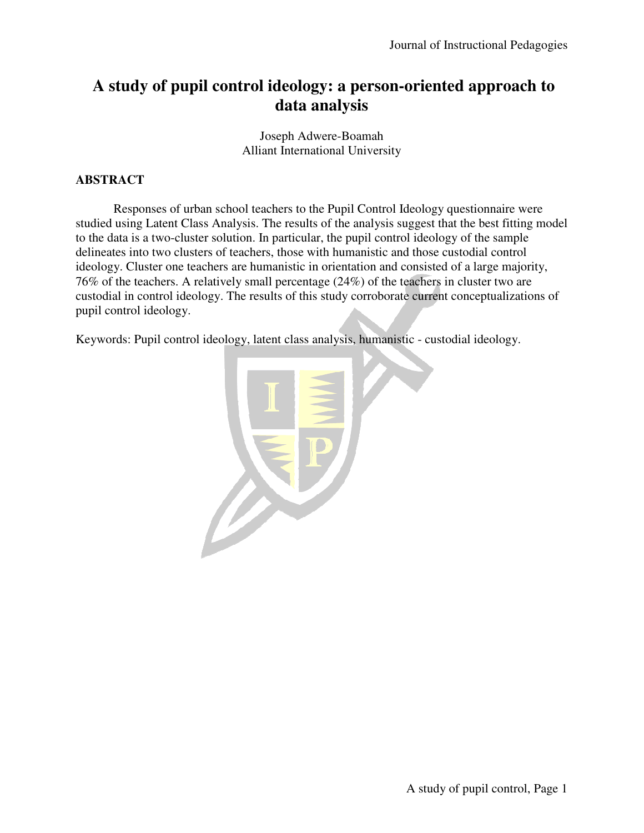# **A study of pupil control ideology: a person-oriented approach to data analysis**

Joseph Adwere-Boamah Alliant International University

## **ABSTRACT**

 Responses of urban school teachers to the Pupil Control Ideology questionnaire were studied using Latent Class Analysis. The results of the analysis suggest that the best fitting model to the data is a two-cluster solution. In particular, the pupil control ideology of the sample delineates into two clusters of teachers, those with humanistic and those custodial control ideology. Cluster one teachers are humanistic in orientation and consisted of a large majority, 76% of the teachers. A relatively small percentage (24%) of the teachers in cluster two are custodial in control ideology. The results of this study corroborate current conceptualizations of pupil control ideology.

Keywords: Pupil control ideology, latent class analysis, humanistic - custodial ideology.

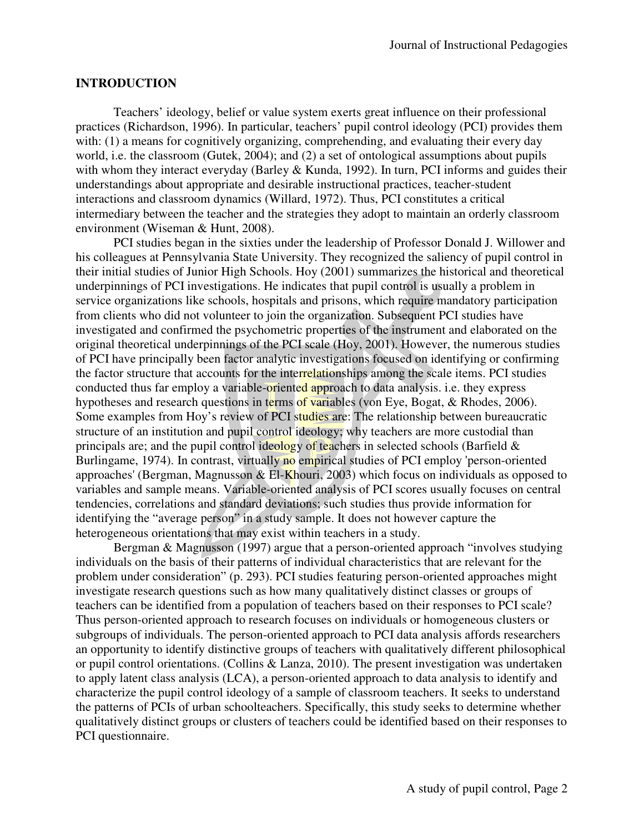#### **INTRODUCTION**

 Teachers' ideology, belief or value system exerts great influence on their professional practices (Richardson, 1996). In particular, teachers' pupil control ideology (PCI) provides them with: (1) a means for cognitively organizing, comprehending, and evaluating their every day world, i.e. the classroom (Gutek, 2004); and (2) a set of ontological assumptions about pupils with whom they interact everyday (Barley & Kunda, 1992). In turn, PCI informs and guides their understandings about appropriate and desirable instructional practices, teacher-student interactions and classroom dynamics (Willard, 1972). Thus, PCI constitutes a critical intermediary between the teacher and the strategies they adopt to maintain an orderly classroom environment (Wiseman & Hunt, 2008).

PCI studies began in the sixties under the leadership of Professor Donald J. Willower and his colleagues at Pennsylvania State University. They recognized the saliency of pupil control in their initial studies of Junior High Schools. Hoy (2001) summarizes the historical and theoretical underpinnings of PCI investigations. He indicates that pupil control is usually a problem in service organizations like schools, hospitals and prisons, which require mandatory participation from clients who did not volunteer to join the organization. Subsequent PCI studies have investigated and confirmed the psychometric properties of the instrument and elaborated on the original theoretical underpinnings of the PCI scale (Hoy, 2001). However, the numerous studies of PCI have principally been factor analytic investigations focused on identifying or confirming the factor structure that accounts for the interrelationships among the scale items. PCI studies conducted thus far employ a variable-oriented approach to data analysis. i.e. they express hypotheses and research questions in terms of variables (von Eye, Bogat, & Rhodes, 2006). Some examples from Hoy's review of PCI studies are: The relationship between bureaucratic structure of an institution and pupil control ideology; why teachers are more custodial than principals are; and the pupil control ideology of teachers in selected schools (Barfield  $\&$ Burlingame, 1974). In contrast, virtually no empirical studies of PCI employ 'person-oriented approaches' (Bergman, Magnusson  $\&$  El-Khouri, 2003) which focus on individuals as opposed to variables and sample means. Variable-oriented analysis of PCI scores usually focuses on central tendencies, correlations and standard deviations; such studies thus provide information for identifying the "average person" in a study sample. It does not however capture the heterogeneous orientations that may exist within teachers in a study.

Bergman & Magnusson (1997) argue that a person-oriented approach "involves studying individuals on the basis of their patterns of individual characteristics that are relevant for the problem under consideration" (p. 293). PCI studies featuring person-oriented approaches might investigate research questions such as how many qualitatively distinct classes or groups of teachers can be identified from a population of teachers based on their responses to PCI scale? Thus person-oriented approach to research focuses on individuals or homogeneous clusters or subgroups of individuals. The person-oriented approach to PCI data analysis affords researchers an opportunity to identify distinctive groups of teachers with qualitatively different philosophical or pupil control orientations. (Collins & Lanza, 2010). The present investigation was undertaken to apply latent class analysis (LCA), a person-oriented approach to data analysis to identify and characterize the pupil control ideology of a sample of classroom teachers. It seeks to understand the patterns of PCIs of urban schoolteachers. Specifically, this study seeks to determine whether qualitatively distinct groups or clusters of teachers could be identified based on their responses to PCI questionnaire.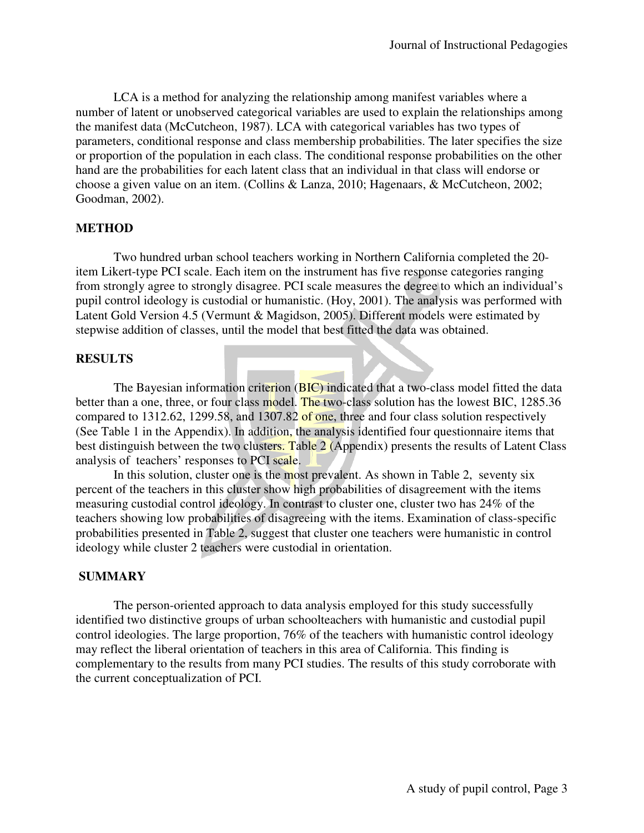LCA is a method for analyzing the relationship among manifest variables where a number of latent or unobserved categorical variables are used to explain the relationships among the manifest data (McCutcheon, 1987). LCA with categorical variables has two types of parameters, conditional response and class membership probabilities. The later specifies the size or proportion of the population in each class. The conditional response probabilities on the other hand are the probabilities for each latent class that an individual in that class will endorse or choose a given value on an item. (Collins & Lanza, 2010; Hagenaars, & McCutcheon, 2002; Goodman, 2002).

#### **METHOD**

 Two hundred urban school teachers working in Northern California completed the 20 item Likert-type PCI scale. Each item on the instrument has five response categories ranging from strongly agree to strongly disagree. PCI scale measures the degree to which an individual's pupil control ideology is custodial or humanistic. (Hoy, 2001). The analysis was performed with Latent Gold Version 4.5 (Vermunt & Magidson, 2005). Different models were estimated by stepwise addition of classes, until the model that best fitted the data was obtained.

#### **RESULTS**

The Bayesian information criterion (BIC) indicated that a two-class model fitted the data better than a one, three, or four class model. The two-class solution has the lowest BIC, 1285.36 compared to 1312.62, 1299.58, and 1307.82 of one, three and four class solution respectively (See Table 1 in the Appendix). In addition, the analysis identified four questionnaire items that best distinguish between the two clusters. Table 2 (Appendix) presents the results of Latent Class analysis of teachers' responses to PCI scale.

In this solution, cluster one is the most prevalent. As shown in Table 2, seventy six percent of the teachers in this cluster show high probabilities of disagreement with the items measuring custodial control ideology. In contrast to cluster one, cluster two has 24% of the teachers showing low probabilities of disagreeing with the items. Examination of class-specific probabilities presented in Table 2, suggest that cluster one teachers were humanistic in control ideology while cluster 2 teachers were custodial in orientation.

#### **SUMMARY**

 The person-oriented approach to data analysis employed for this study successfully identified two distinctive groups of urban schoolteachers with humanistic and custodial pupil control ideologies. The large proportion, 76% of the teachers with humanistic control ideology may reflect the liberal orientation of teachers in this area of California. This finding is complementary to the results from many PCI studies. The results of this study corroborate with the current conceptualization of PCI.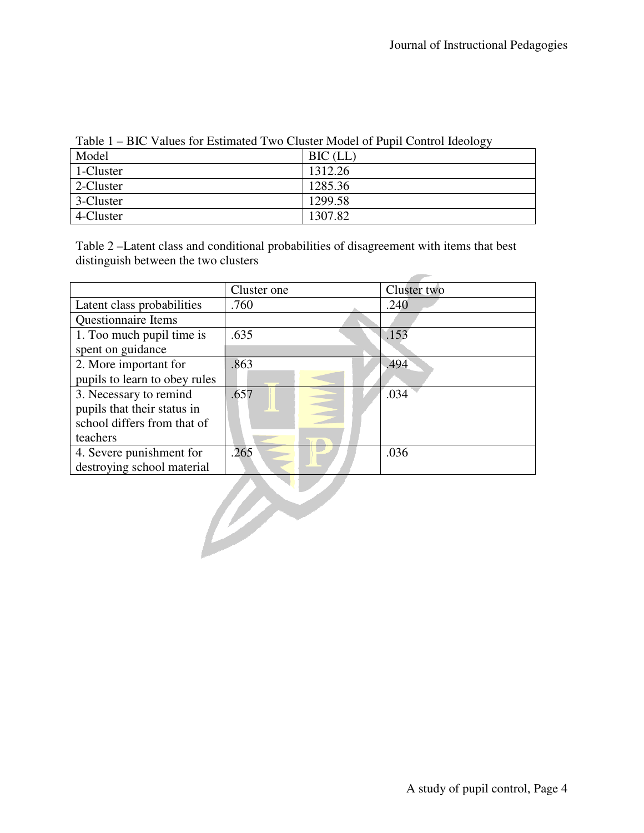| $1$ able $1 - D1C$ values for Estimated 1 wo Cluster Model of 1 up t Control fueblogy |            |  |
|---------------------------------------------------------------------------------------|------------|--|
| Model                                                                                 | $BIC$ (LL) |  |
| 1-Cluster                                                                             | 1312.26    |  |
| 2-Cluster                                                                             | 1285.36    |  |
| 3-Cluster                                                                             | 1299.58    |  |
| 4-Cluster                                                                             | 1307.82    |  |

Table 1 – BIC Values for Estimated Two Cluster Model of Pupil Control Ideology

Table 2 –Latent class and conditional probabilities of disagreement with items that best distinguish between the two clusters

|                               | Cluster one | Cluster two |
|-------------------------------|-------------|-------------|
| Latent class probabilities    | .760        | .240        |
| Questionnaire Items           |             |             |
| 1. Too much pupil time is     | .635        | .153        |
| spent on guidance             |             |             |
| 2. More important for         | .863        | .494        |
| pupils to learn to obey rules |             |             |
| 3. Necessary to remind        | .657        | .034        |
| pupils that their status in   |             |             |
| school differs from that of   |             |             |
| teachers                      |             |             |
| 4. Severe punishment for      | .265        | .036        |
| destroying school material    |             |             |
|                               |             |             |